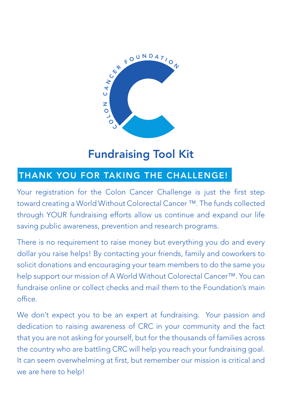

# Fundraising Tool Kit

### THANK YOU FOR TAKING THE CHALLENGE!

Your registration for the Colon Cancer Challenge is just the first step toward creating a World Without Colorectal Cancer ™. The funds collected through YOUR fundraising efforts allow us continue and expand our life saving public awareness, prevention and research programs.

There is no requirement to raise money but everything you do and every dollar you raise helps! By contacting your friends, family and coworkers to solicit donations and encouraging your team members to do the same you help support our mission of A World Without Colorectal Cancer™. You can fundraise online or collect checks and mail them to the Foundation's main office.

We don't expect you to be an expert at fundraising. Your passion and dedication to raising awareness of CRC in your community and the fact that you are not asking for yourself, but for the thousands of families across the country who are battling CRC will help you reach your fundraising goal. It can seem overwhelming at first, but remember our mission is critical and we are here to help!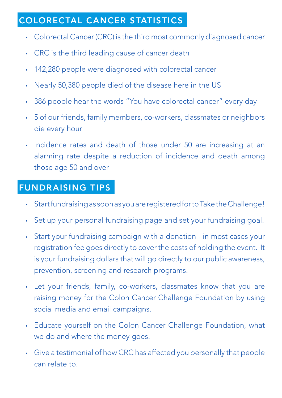### COLORECTAL CANCER STATISTICS

- Colorectal Cancer (CRC) is the third most commonly diagnosed cancer
- CRC is the third leading cause of cancer death
- 142,280 people were diagnosed with colorectal cancer
- Nearly 50,380 people died of the disease here in the US
- 386 people hear the words "You have colorectal cancer" every day
- 5 of our friends, family members, co-workers, classmates or neighbors die every hour
- Incidence rates and death of those under 50 are increasing at an alarming rate despite a reduction of incidence and death among those age 50 and over

### FUNDRAISING TIPS

- Start fundraising as soon as you are registered for to Take the Challenge!
- Set up your personal fundraising page and set your fundraising goal.
- Start your fundraising campaign with a donation in most cases your registration fee goes directly to cover the costs of holding the event. It is your fundraising dollars that will go directly to our public awareness, prevention, screening and research programs.
- Let your friends, family, co-workers, classmates know that you are raising money for the Colon Cancer Challenge Foundation by using social media and email campaigns.
- • Educate yourself on the Colon Cancer Challenge Foundation, what we do and where the money goes.
- • Give a testimonial of how CRC has affected you personally that people can relate to.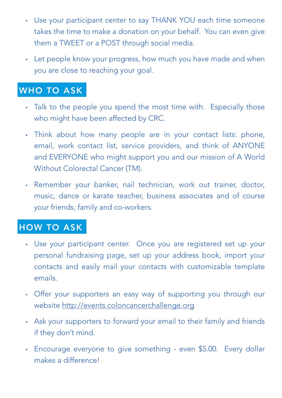- Use your participant center to say THANK YOU each time someone takes the time to make a donation on your behalf. You can even give them a TWEET or a POST through social media.
- Let people know your progress, how much you have made and when you are close to reaching your goal.

# WHO TO ASK

- Talk to the people you spend the most time with. Especially those who might have been affected by CRC.
- Think about how many people are in your contact lists: phone, email, work contact list, service providers, and think of ANYONE and EVERYONE who might support you and our mission of A World Without Colorectal Cancer (TM).
- Remember your banker, nail technician, work out trainer, doctor, music, dance or karate teacher, business associates and of course your friends, family and co-workers.

# HOW TO ASK

- Use your participant center. Once you are registered set up your personal fundraising page, set up your address book, import your contacts and easily mail your contacts with customizable template emails.
- Offer your supporters an easy way of supporting you through our website http://events.coloncancerchallenge.org
- Ask your supporters to forward your email to their family and friends if they don't mind.
- Encourage everyone to give something even \$5.00. Every dollar makes a difference!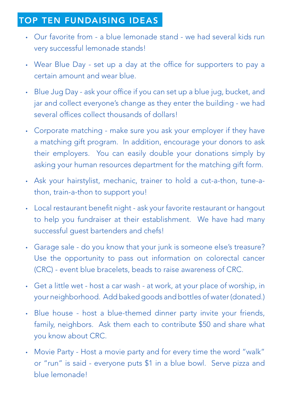### TOP TEN FUNDAISING IDEAS

- Our favorite from a blue lemonade stand we had several kids run very successful lemonade stands!
- Wear Blue Day set up a day at the office for supporters to pay a certain amount and wear blue.
- Blue Jug Day ask your office if you can set up a blue jug, bucket, and jar and collect everyone's change as they enter the building - we had several offices collect thousands of dollars!
- Corporate matching make sure you ask your employer if they have a matching gift program. In addition, encourage your donors to ask their employers. You can easily double your donations simply by asking your human resources department for the matching gift form.
- Ask your hairstylist, mechanic, trainer to hold a cut-a-thon, tune-athon, train-a-thon to support you!
- Local restaurant benefit night ask your favorite restaurant or hangout to help you fundraiser at their establishment. We have had many successful guest bartenders and chefs!
- Garage sale do you know that your junk is someone else's treasure? Use the opportunity to pass out information on colorectal cancer (CRC) - event blue bracelets, beads to raise awareness of CRC.
- Get a little wet host a car wash at work, at your place of worship, in your neighborhood. Add baked goods and bottles of water (donated.)
- Blue house host a blue-themed dinner party invite your friends, family, neighbors. Ask them each to contribute \$50 and share what you know about CRC.
- Movie Party Host a movie party and for every time the word "walk" or "run" is said - everyone puts \$1 in a blue bowl. Serve pizza and blue lemonade!